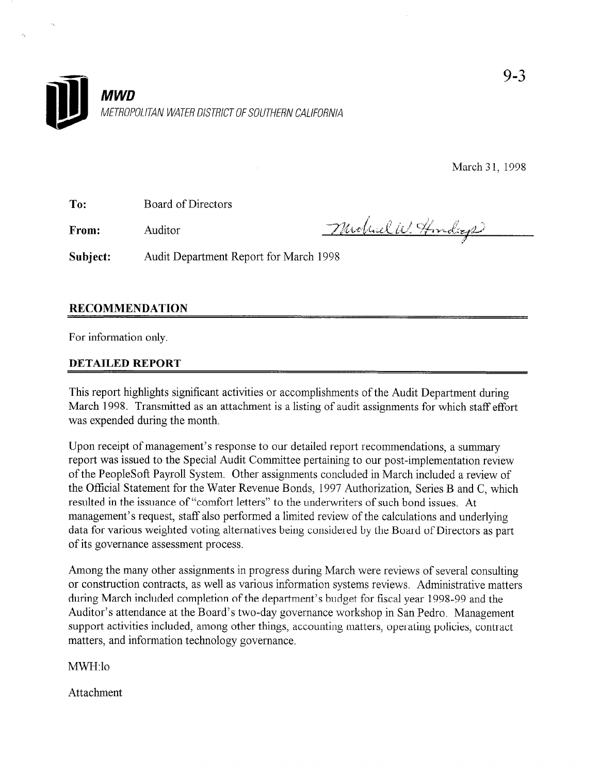

March 31, 1998

To: Board of Directors

From:

i Auditor --7.&J;, ;<,f, &f ";g >,&f;., ,;\$  $\mathcal{F}% _{0}^{X\rightarrow\mu}$ 

Subject: Audit Department Report for March 1998

## RECOMMENDATION

For information only.

## DETAlLED REPORT

This report highlights significant activities or accomplishments of the Audit Department during March 1998. Transmitted as an attachment is a listing of audit assignments for which staff effort was expended during the month.

Upon receipt of management's response to our detailed report recommendations, a summary report was issued to the Special Audit Committee pertaining to our post-implementation review of the PeopleSoft Payroll System. Other assignments concluded in March included a review of the Official Statement for the Water Revenue Bonds, 1997 Authorization, Series B and C, which resulted in the issuance of "comfort letters" to the underwriters of such bond issues. At management's request, staff also performed a limited review of the calculations and underlying data for various weighted voting alternatives being considered by the Board of Directors as part of its governance assessment process.

Among the many other assignments in progress during March were reviews of several consulting or construction contracts, as well as various information systems reviews. Administrative matters during March included completion of the department's budget for fiscal year 1998-99 and the Auditor's attendance at the Board's two-day governance workshop in San Pedro. Management support activities included, among other things, accounting matters, operating policies, contract matters, and information technology governance.

MWH:lo

Attachment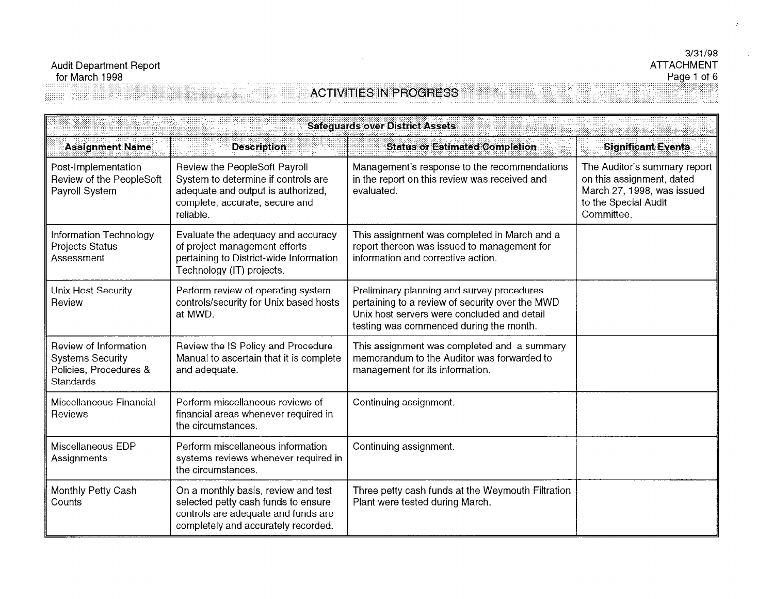## Audit Department Report for March 1998

**Monthly Petty Cash** 

**Counts** 

:...:::.::::::::.:::::::::::::::::::::::::::::::.::.::::... .: .;,.;,..... .; . . . . . . . . . .,......,. . . . . . . . . . . . . . . ..::::. ,... . . . . . . . . ..,. .,:,:,, .,. .::.:. ..,., .;: .,.. :

. . . . . . . . . . . . . . . . . . . . . . . . . .

the circumstances.

controls are adequate and funds are completely and accurately recorded.

#### 3/31/98 ATTACHMENT Page 1 of 6 .,. .,,,: .,. : : : .,: : :,., .,. .7

. . . ..I.. . . .

. . . . ,.

. . . . . . . . ..I.... : . . . . . . . . . . . . . . . . ..I...:..

. . ./ .A. .

; :::: :.:: :.:: :.: :y:.;. .,. . ..I :.:.,. . . . . . . . . . ,,, . . . . . . . . . . . . . . . . . . . . . ..)I)..

#### **ACTRITICS IN DEGABLES ACTRICIAL CONTRACTES** .,. .,. .,. .,.,. ., . . ./ . :.: :,:,,.: ......,. .:.. . . ...:.... ....... '.I..'

..... ..

|                                                                                         | <b>Safeguards over District Assets</b>                                                                                                                    |                                                                                                                                                                                         |                                                                                                                               |  |
|-----------------------------------------------------------------------------------------|-----------------------------------------------------------------------------------------------------------------------------------------------------------|-----------------------------------------------------------------------------------------------------------------------------------------------------------------------------------------|-------------------------------------------------------------------------------------------------------------------------------|--|
| <b>Assignment Name</b>                                                                  | <b>Description</b>                                                                                                                                        | <b>Status or Estimated Completion.</b>                                                                                                                                                  | <b>Significant Events</b>                                                                                                     |  |
| Post-Implementation<br>Review of the PeopleSoft<br>Payroll System                       | Review the PeopleSoft Payroll<br>System to determine if controls are<br>adequate and output is authorized,<br>complete, accurate, secure and<br>reliable. | Management's response to the recommendations<br>in the report on this review was received and<br>evaluated.                                                                             | The Auditor's summary report<br>on this assignment, dated<br>March 27, 1998, was issued<br>to the Special Audit<br>Committee. |  |
| Information Technology<br>Projects Status<br>Assessment                                 | Evaluate the adequacy and accuracy<br>of project management efforts<br>pertaining to District-wide Information<br>Technology (IT) projects.               | This assignment was completed in March and a<br>report thereon was issued to management for<br>information and corrective action.                                                       |                                                                                                                               |  |
| Unix Host Security<br>Review                                                            | Perform review of operating system<br>controls/security for Unix based hosts<br>at MWD.                                                                   | Preliminary planning and survey procedures<br>pertaining to a review of security over the MWD<br>Unix host servers were concluded and detail<br>testing was commenced during the month. |                                                                                                                               |  |
| Review of Information<br><b>Systems Security</b><br>Policies, Procedures &<br>Standards | Review the IS Policy and Procedure<br>Manual to ascertain that it is complete<br>and adequate.                                                            | This assignment was completed and a summary<br>memorandum to the Auditor was forwarded to<br>management for its information.                                                            |                                                                                                                               |  |
| Miscellaneous Financial<br>Reviews                                                      | Perform miscellaneous reviews of<br>financial areas whenever required in<br>the circumstances.                                                            | Continuing assignment.                                                                                                                                                                  |                                                                                                                               |  |
| Miscellaneous EDP<br>Assignments                                                        | Perform miscellaneous information<br>systems reviews whenever required in                                                                                 | Continuing assignment.                                                                                                                                                                  |                                                                                                                               |  |

On a monthly basis, review and test  $\top$  Three petty cash funds at the Weymouth Filtration

selected petty cash funds to ensure | Plant were tested during March.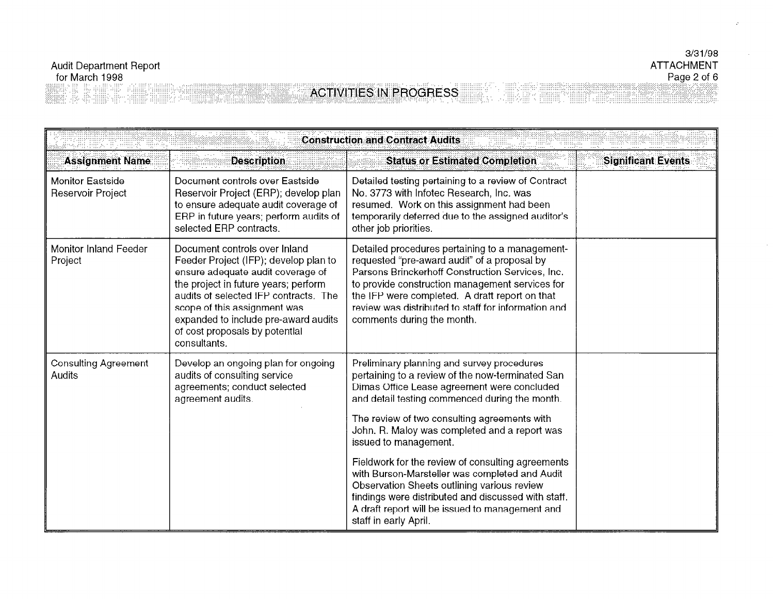# Page 2 of 6<br>ACTIVITIES IN PROGRESS

| <b>Construction and Contract Audits</b>      |                                                                                                                                                                                                                                                                                                                        |                                                                                                                                                                                                                                                                                                                                                                                                                                  |                           |
|----------------------------------------------|------------------------------------------------------------------------------------------------------------------------------------------------------------------------------------------------------------------------------------------------------------------------------------------------------------------------|----------------------------------------------------------------------------------------------------------------------------------------------------------------------------------------------------------------------------------------------------------------------------------------------------------------------------------------------------------------------------------------------------------------------------------|---------------------------|
| <b>Assignment Name</b>                       | <b>Description</b>                                                                                                                                                                                                                                                                                                     | <b>Status or Estimated Completion</b>                                                                                                                                                                                                                                                                                                                                                                                            | <b>Significant Events</b> |
| <b>Monitor Eastside</b><br>Reservoir Project | Document controls over Eastside<br>Reservoir Project (ERP); develop plan<br>to ensure adequate audit coverage of<br>ERP in future years; perform audits of<br>selected ERP contracts.                                                                                                                                  | Detailed testing pertaining to a review of Contract<br>No. 3773 with Infotec Research, Inc. was<br>resumed. Work on this assignment had been<br>temporarily deferred due to the assigned auditor's<br>other job priorities.                                                                                                                                                                                                      |                           |
| <b>Monitor Inland Feeder</b><br>Project      | Document controls over Inland<br>Feeder Project (IFP); develop plan to<br>ensure adequate audit coverage of<br>the project in future years; perform<br>audits of selected IFP contracts. The<br>scope of this assignment was<br>expanded to include pre-award audits<br>of cost proposals by potential<br>consultants. | Detailed procedures pertaining to a management-<br>requested "pre-award audit" of a proposal by<br>Parsons Brinckerhoff Construction Services, Inc.<br>to provide construction management services for<br>the IFP were completed. A draft report on that<br>review was distributed to staff for information and<br>comments during the month.                                                                                    |                           |
| <b>Consulting Agreement</b><br>Audits        | Develop an ongoing plan for ongoing<br>audits of consulting service<br>agreements; conduct selected<br>agreement audits.                                                                                                                                                                                               | Preliminary planning and survey procedures<br>pertaining to a review of the now-terminated San<br>Dimas Office Lease agreement were concluded<br>and detail testing commenced during the month.<br>The review of two consulting agreements with<br>John. R. Maloy was completed and a report was<br>issued to management.<br>Fieldwork for the review of consulting agreements<br>with Burson-Marsteller was completed and Audit |                           |
|                                              |                                                                                                                                                                                                                                                                                                                        | Observation Sheets outlining various review<br>findings were distributed and discussed with staff.<br>A draft report will be issued to management and<br>staff in early April.                                                                                                                                                                                                                                                   |                           |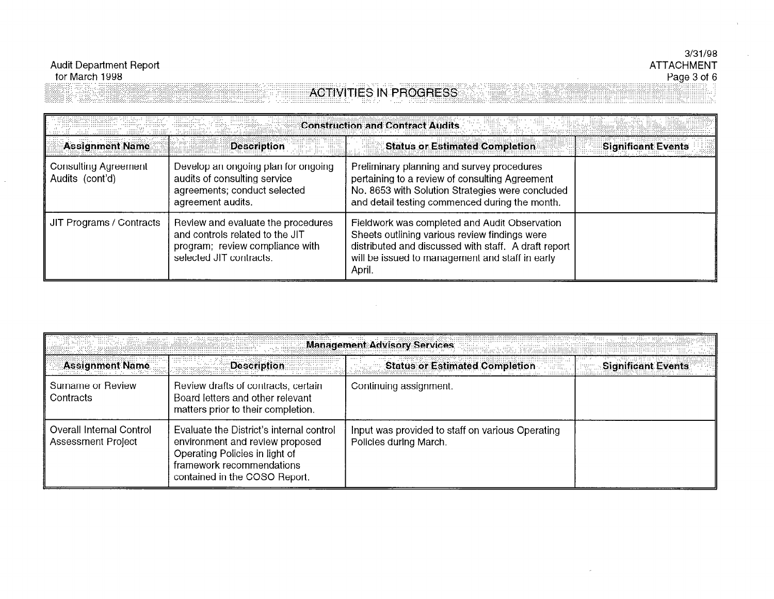8388888888888

# **ACTIVITIES IN PROGRESS**

| <b>Construction and Contract Audits</b>        |                                                                                                                                     |                                                                                                                                                                                                                     |                           |
|------------------------------------------------|-------------------------------------------------------------------------------------------------------------------------------------|---------------------------------------------------------------------------------------------------------------------------------------------------------------------------------------------------------------------|---------------------------|
| <b>Assignment Name</b>                         | <b>Description</b>                                                                                                                  | <b>Status or Estimated Completion</b>                                                                                                                                                                               | <b>Significant Events</b> |
| <b>Consulting Agreement</b><br>Audits (cont'd) | Develop an ongoing plan for ongoing<br>audits of consulting service<br>agreements; conduct selected<br>agreement audits.            | Preliminary planning and survey procedures<br>pertaining to a review of consulting Agreement<br>No. 8653 with Solution Strategies were concluded<br>and detail testing commenced during the month.                  |                           |
| JIT Programs / Contracts                       | Review and evaluate the procedures<br>and controls related to the JIT<br>program; review compliance with<br>selected JIT contracts. | Fieldwork was completed and Audit Observation<br>Sheets outlining various review findings were<br>distributed and discussed with staff. A draft report<br>will be issued to management and staff in early<br>April. |                           |

| <b>Management Advisory Services</b>                          |                                                                                                                                                                             |                                                                            |                                      |
|--------------------------------------------------------------|-----------------------------------------------------------------------------------------------------------------------------------------------------------------------------|----------------------------------------------------------------------------|--------------------------------------|
| <b>Assignment Name</b>                                       | <b>Description</b>                                                                                                                                                          | <b>Status or Estimated Completion</b>                                      | <b>Significant Events</b><br>i graan |
| Surname or Review<br>Contracts                               | Review drafts of contracts, certain<br>Board letters and other relevant<br>matters prior to their completion.                                                               | Continuing assignment.                                                     |                                      |
| <b>Overall Internal Control</b><br><b>Assessment Project</b> | Evaluate the District's internal control<br>environment and review proposed<br>Operating Policies in light of<br>framework recommendations<br>contained in the COSO Report. | Input was provided to staff on various Operating<br>Policies during March. |                                      |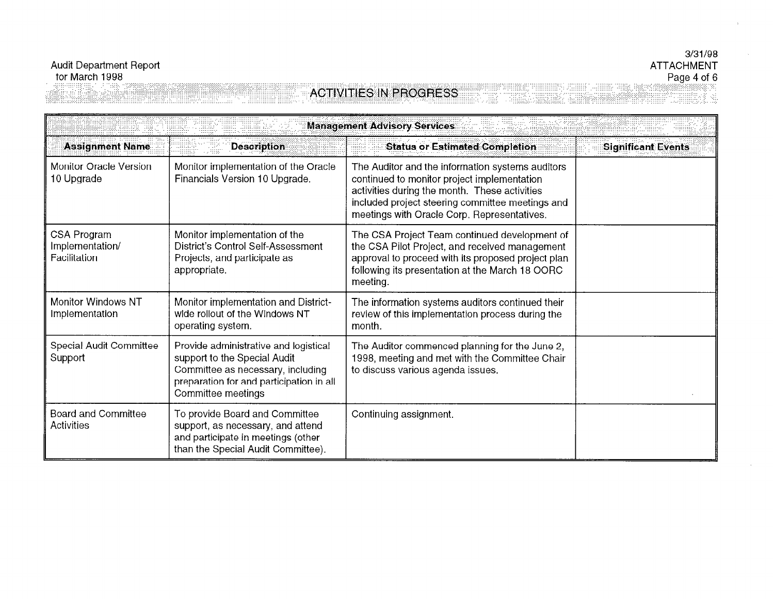## $3/31/98$ **ATTACHMENT**

## **ACTIVITIES IN PROGRESS**

Page 4 of 6<br>Page 4 of 6

| <b>Management Advisory Services</b>            |                                                                                                                                                                              |                                                                                                                                                                                                                                                     |                           |
|------------------------------------------------|------------------------------------------------------------------------------------------------------------------------------------------------------------------------------|-----------------------------------------------------------------------------------------------------------------------------------------------------------------------------------------------------------------------------------------------------|---------------------------|
| <b>Assignment Name</b>                         | <b>Description</b>                                                                                                                                                           | <b>Status or Estimated Completion</b>                                                                                                                                                                                                               | <b>Significant Events</b> |
| <b>Monitor Oracle Version</b><br>10 Upgrade    | Monitor implementation of the Oracle<br>Financials Version 10 Upgrade.                                                                                                       | The Auditor and the information systems auditors<br>continued to monitor project implementation<br>activities during the month. These activities<br>included project steering committee meetings and<br>meetings with Oracle Corp. Representatives. |                           |
| CSA Program<br>Implementation/<br>Facilitation | Monitor implementation of the<br>District's Control Self-Assessment<br>Projects, and participate as<br>appropriate.                                                          | The CSA Project Team continued development of<br>the CSA Pilot Project, and received management<br>approval to proceed with its proposed project plan<br>following its presentation at the March 18 OORC<br>meeting.                                |                           |
| <b>Monitor Windows NT</b><br>Implementation    | Monitor implementation and District-<br>wide rollout of the Windows NT<br>operating system.                                                                                  | The information systems auditors continued their<br>review of this implementation process during the<br>month.                                                                                                                                      |                           |
| Special Audit Committee<br>Support             | Provide administrative and logistical<br>support to the Special Audit<br>Committee as necessary, including<br>preparation for and participation in all<br>Committee meetings | The Auditor commenced planning for the June 2,<br>1998, meeting and met with the Committee Chair<br>to discuss various agenda issues.                                                                                                               |                           |
| <b>Board and Committee</b><br>Activities       | To provide Board and Committee<br>support, as necessary, and attend<br>and participate in meetings (other<br>than the Special Audit Committee).                              | Continuing assignment.                                                                                                                                                                                                                              |                           |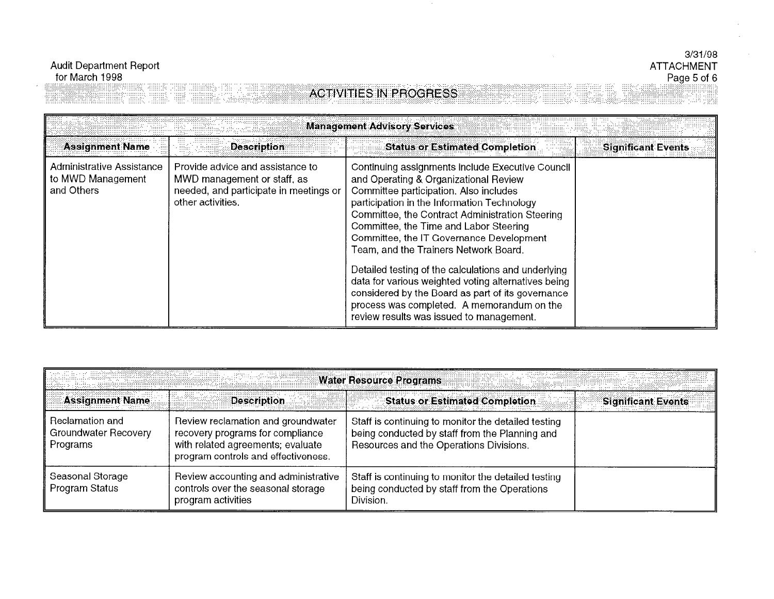## **Audit Department Report** for March 1998

#### $3/31/98$ **ATTACHMENT** Page 5 of 6

#### **Management Advisory Services Assignment Name Description Status or Estimated Completion Significant Events** Administrative Assistance Provide advice and assistance to Continuing assignments include Executive Council and Operating & Organizational Review to MWD Management MWD management or staff, as and Others needed, and participate in meetings or Committee participation. Also includes other activities. participation in the Information Technology Committee, the Contract Administration Steering Committee, the Time and Labor Steering Committee, the IT Governance Development Team, and the Trainers Network Board. Detailed testing of the calculations and underlying data for various weighted voting alternatives being considered by the Board as part of its governance process was completed. A memorandum on the review results was issued to management.

**ACTIVITIES IN PROGRESS** 

|                                                     | an kalendar yang bermula pada tahun 1999. Dan bermula                                                                                              | <b>Water Resource Programs</b>                                                                                                                   |                           |
|-----------------------------------------------------|----------------------------------------------------------------------------------------------------------------------------------------------------|--------------------------------------------------------------------------------------------------------------------------------------------------|---------------------------|
| <b>Assignment Name</b>                              | <b>Description</b>                                                                                                                                 | <b>Status or Estimated Completion</b>                                                                                                            | <b>Significant Events</b> |
| Reclamation and<br>Groundwater Recovery<br>Programs | Review reclamation and groundwater<br>recovery programs for compliance<br>with related agreements; evaluate<br>program controls and effectiveness. | Staff is continuing to monitor the detailed testing<br>being conducted by staff from the Planning and<br>Resources and the Operations Divisions. |                           |
| Seasonal Storage<br>Program Status                  | Review accounting and administrative<br>controls over the seasonal storage<br>program activities                                                   | Staff is continuing to monitor the detailed testing<br>being conducted by staff from the Operations<br>Division.                                 |                           |